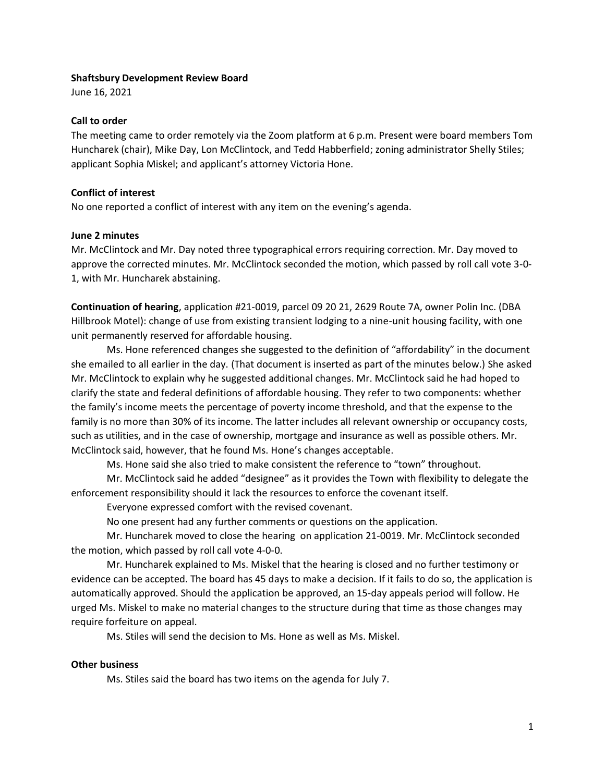#### **Shaftsbury Development Review Board**

June 16, 2021

### **Call to order**

The meeting came to order remotely via the Zoom platform at 6 p.m. Present were board members Tom Huncharek (chair), Mike Day, Lon McClintock, and Tedd Habberfield; zoning administrator Shelly Stiles; applicant Sophia Miskel; and applicant's attorney Victoria Hone.

# **Conflict of interest**

No one reported a conflict of interest with any item on the evening's agenda.

# **June 2 minutes**

Mr. McClintock and Mr. Day noted three typographical errors requiring correction. Mr. Day moved to approve the corrected minutes. Mr. McClintock seconded the motion, which passed by roll call vote 3-0- 1, with Mr. Huncharek abstaining.

**Continuation of hearing**, application #21-0019, parcel 09 20 21, 2629 Route 7A, owner Polin Inc. (DBA Hillbrook Motel): change of use from existing transient lodging to a nine-unit housing facility, with one unit permanently reserved for affordable housing.

Ms. Hone referenced changes she suggested to the definition of "affordability" in the document she emailed to all earlier in the day. (That document is inserted as part of the minutes below.) She asked Mr. McClintock to explain why he suggested additional changes. Mr. McClintock said he had hoped to clarify the state and federal definitions of affordable housing. They refer to two components: whether the family's income meets the percentage of poverty income threshold, and that the expense to the family is no more than 30% of its income. The latter includes all relevant ownership or occupancy costs, such as utilities, and in the case of ownership, mortgage and insurance as well as possible others. Mr. McClintock said, however, that he found Ms. Hone's changes acceptable.

Ms. Hone said she also tried to make consistent the reference to "town" throughout.

Mr. McClintock said he added "designee" as it provides the Town with flexibility to delegate the enforcement responsibility should it lack the resources to enforce the covenant itself.

Everyone expressed comfort with the revised covenant.

No one present had any further comments or questions on the application.

Mr. Huncharek moved to close the hearing on application 21-0019. Mr. McClintock seconded the motion, which passed by roll call vote 4-0-0.

Mr. Huncharek explained to Ms. Miskel that the hearing is closed and no further testimony or evidence can be accepted. The board has 45 days to make a decision. If it fails to do so, the application is automatically approved. Should the application be approved, an 15-day appeals period will follow. He urged Ms. Miskel to make no material changes to the structure during that time as those changes may require forfeiture on appeal.

Ms. Stiles will send the decision to Ms. Hone as well as Ms. Miskel.

#### **Other business**

Ms. Stiles said the board has two items on the agenda for July 7.